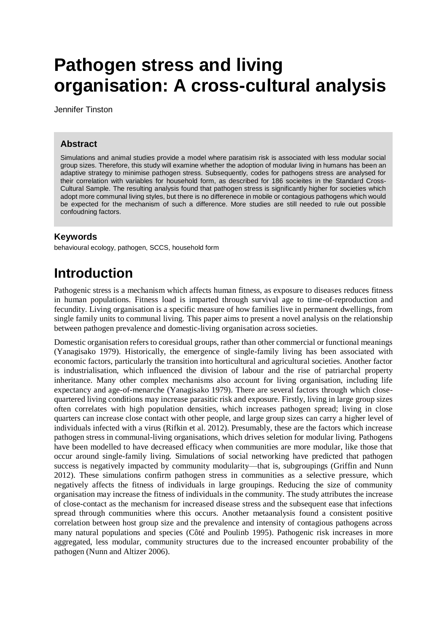# **Pathogen stress and living organisation: A cross-cultural analysis**

Jennifer Tinston

#### **Abstract**

Simulations and animal studies provide a model where paratisim risk is associated with less modular social group sizes. Therefore, this study will examine whether the adoption of modular living in humans has been an adaptive strategy to minimise pathogen stress. Subsequently, codes for pathogens stress are analysed for their correlation with variables for household form, as described for 186 socieites in the Standard Cross-Cultural Sample. The resulting analysis found that pathogen stress is significantly higher for societies which adopt more communal living styles, but there is no differenece in mobile or contagious pathogens which would be expected for the mechanism of such a difference. More studies are still needed to rule out possible confoudning factors.

#### **Keywords**

behavioural ecology, pathogen, SCCS, household form

## **Introduction**

Pathogenic stress is a mechanism which affects human fitness, as exposure to diseases reduces fitness in human populations. Fitness load is imparted through survival age to time-of-reproduction and fecundity. Living organisation is a specific measure of how families live in permanent dwellings, from single family units to communal living. This paper aims to present a novel analysis on the relationship between pathogen prevalence and domestic-living organisation across societies.

Domestic organisation refers to coresidual groups, rather than other commercial or functional meanings (Yanagisako 1979). Historically, the emergence of single-family living has been associated with economic factors, particularly the transition into horticultural and agricultural societies. Another factor is industrialisation, which influenced the division of labour and the rise of patriarchal property inheritance. Many other complex mechanisms also account for living organisation, including life expectancy and age-of-menarche (Yanagisako 1979). There are several factors through which closequartered living conditions may increase parasitic risk and exposure. Firstly, living in large group sizes often correlates with high population densities, which increases pathogen spread; living in close quarters can increase close contact with other people, and large group sizes can carry a higher level of individuals infected with a virus (Rifkin et al. 2012). Presumably, these are the factors which increase pathogen stress in communal-living organisations, which drives seletion for modular living. Pathogens have been modelled to have decreased efficacy when communities are more modular, like those that occur around single-family living. Simulations of social networking have predicted that pathogen success is negatively impacted by community modularity—that is, subgroupings (Griffin and Nunn 2012). These simulations confirm pathogen stress in communities as a selective pressure, which negatively affects the fitness of individuals in large groupings. Reducing the size of community organisation may increase the fitness of individuals in the community. The study attributes the increase of close-contact as the mechanism for increased disease stress and the subsequent ease that infections spread through communities where this occurs. Another metaanalysis found a consistent positive correlation between host group size and the prevalence and intensity of contagious pathogens across many natural populations and species (Côté and Poulinb 1995). Pathogenic risk increases in more aggregated, less modular, community structures due to the increased encounter probability of the pathogen (Nunn and Altizer 2006).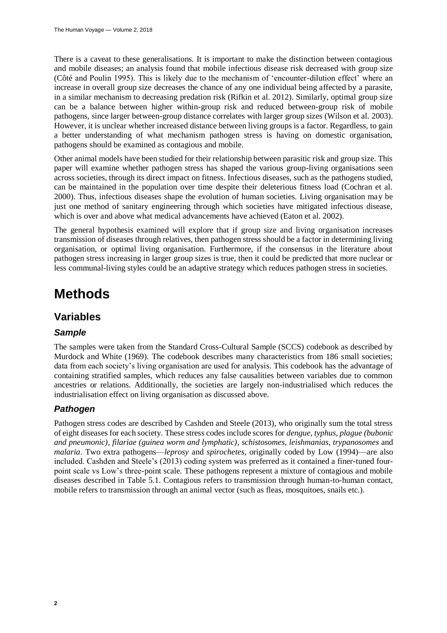There is a caveat to these generalisations. It is important to make the distinction between contagious and mobile diseases; an analysis found that mobile infectious disease risk decreased with group size (Côté and Poulin 1995). This is likely due to the mechanism of 'encounter-dilution effect' where an increase in overall group size decreases the chance of any one individual being affected by a parasite, in a similar mechanism to decreasing predation risk (Rifkin et al. 2012). Similarly, optimal group size can be a balance between higher within-group risk and reduced between-group risk of mobile pathogens, since larger between-group distance correlates with larger group sizes (Wilson et al. 2003). However, it is unclear whether increased distance between living groups is a factor. Regardless, to gain a better understanding of what mechanism pathogen stress is having on domestic organisation, pathogens should be examined as contagious and mobile.

Other animal models have been studied for their relationship between parasitic risk and group size. This paper will examine whether pathogen stress has shaped the various group-living organisations seen across societies, through its direct impact on fitness. Infectious diseases, such as the pathogens studied, can be maintained in the population over time despite their deleterious fitness load (Cochran et al. 2000). Thus, infectious diseases shape the evolution of human societies. Living organisation may be just one method of sanitary engineering through which societies have mitigated infectious disease, which is over and above what medical advancements have achieved (Eaton et al. 2002).

The general hypothesis examined will explore that if group size and living organisation increases transmission of diseases through relatives, then pathogen stress should be a factor in determining living organisation, or optimal living organisation. Furthermore, if the consensus in the literature about pathogen stress increasing in larger group sizes is true, then it could be predicted that more nuclear or less communal-living styles could be an adaptive strategy which reduces pathogen stress in societies.

## **Methods**

#### **Variables**

#### *Sample*

The samples were taken from the Standard Cross-Cultural Sample (SCCS) codebook as described by Murdock and White (1969). The codebook describes many characteristics from 186 small societies; data from each society's living organisation are used for analysis. This codebook has the advantage of containing stratified samples, which reduces any false causalities between variables due to common ancestries or relations. Additionally, the societies are largely non-industrialised which reduces the industrialisation effect on living organisation as discussed above.

#### *Pathogen*

Pathogen stress codes are described by Cashden and Steele (2013), who originally sum the total stress of eight diseases for each society. These stress codes include scores for *dengue*, *typhus*, *plague (bubonic and pneumonic), filariae (guinea worm and lymphatic), schistosomes*, *leishmanias*, *trypanosomes* and *malaria*. Two extra pathogens—*leprosy* and *spirochetes,* originally coded by Low (1994)—are also included. Cashden and Steele's (2013) coding system was preferred as it contained a finer-tuned fourpoint scale vs Low's three-point scale. These pathogens represent a mixture of contagious and mobile diseases described in Table 5.1. Contagious refers to transmission through human-to-human contact, mobile refers to transmission through an animal vector (such as fleas, mosquitoes, snails etc.).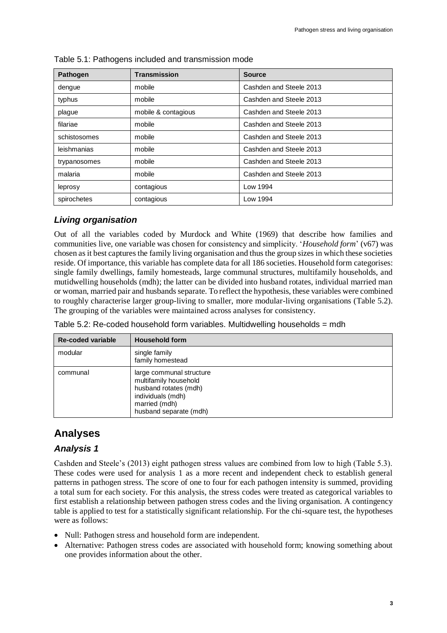| <b>Pathogen</b> | <b>Transmission</b> | <b>Source</b>           |  |
|-----------------|---------------------|-------------------------|--|
| dengue          | mobile              | Cashden and Steele 2013 |  |
| typhus          | mobile              | Cashden and Steele 2013 |  |
| plague          | mobile & contagious | Cashden and Steele 2013 |  |
| filariae        | mobile              | Cashden and Steele 2013 |  |
| schistosomes    | mobile              | Cashden and Steele 2013 |  |
| leishmanias     | mobile              | Cashden and Steele 2013 |  |
| trypanosomes    | mobile              | Cashden and Steele 2013 |  |
| malaria         | mobile              | Cashden and Steele 2013 |  |
| leprosy         | contagious          | Low 1994                |  |
| spirochetes     | contagious          | Low 1994                |  |

Table 5.1: Pathogens included and transmission mode

#### *Living organisation*

Out of all the variables coded by Murdock and White (1969) that describe how families and communities live, one variable was chosen for consistency and simplicity. '*Household form*' (v67) was chosen as it best captures the family living organisation and thus the group sizes in which these societies reside. Of importance, this variable has complete data for all 186 societies. Household form categorises: single family dwellings, family homesteads, large communal structures, multifamily households, and mutidwelling households (mdh); the latter can be divided into husband rotates, individual married man or woman, married pair and husbands separate. To reflect the hypothesis, these variables were combined to roughly characterise larger group-living to smaller, more modular-living organisations (Table 5.2). The grouping of the variables were maintained across analyses for consistency.

| Table 5.2: Re-coded household form variables. Multidwelling households = mdh |  |
|------------------------------------------------------------------------------|--|
|------------------------------------------------------------------------------|--|

| <b>Re-coded variable</b> | <b>Household form</b>                                                                                                                      |
|--------------------------|--------------------------------------------------------------------------------------------------------------------------------------------|
| modular                  | single family<br>family homestead                                                                                                          |
| communal                 | large communal structure<br>multifamily household<br>husband rotates (mdh)<br>individuals (mdh)<br>married (mdh)<br>husband separate (mdh) |

### **Analyses**

#### *Analysis 1*

Cashden and Steele's (2013) eight pathogen stress values are combined from low to high (Table 5.3). These codes were used for analysis 1 as a more recent and independent check to establish general patterns in pathogen stress. The score of one to four for each pathogen intensity is summed, providing a total sum for each society. For this analysis, the stress codes were treated as categorical variables to first establish a relationship between pathogen stress codes and the living organisation. A contingency table is applied to test for a statistically significant relationship. For the chi-square test, the hypotheses were as follows:

- Null: Pathogen stress and household form are independent.
- Alternative: Pathogen stress codes are associated with household form; knowing something about one provides information about the other.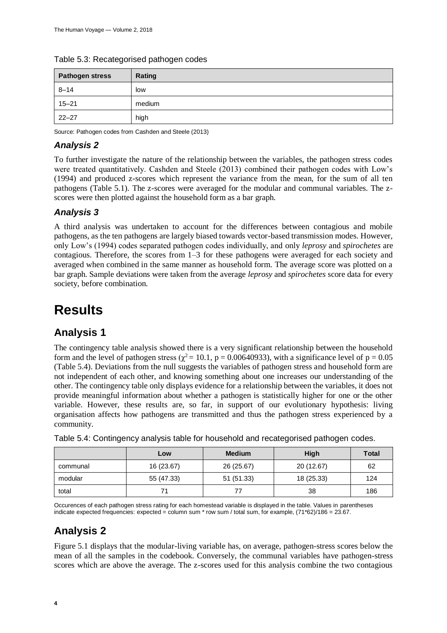| <b>Pathogen stress</b> | Rating |
|------------------------|--------|
| $8 - 14$               | low    |
| $15 - 21$              | medium |
| $22 - 27$              | high   |

#### Table 5.3: Recategorised pathogen codes

Source: Pathogen codes from Cashden and Steele (2013)

#### *Analysis 2*

To further investigate the nature of the relationship between the variables, the pathogen stress codes were treated quantitatively. Cashden and Steele (2013) combined their pathogen codes with Low's (1994) and produced z-scores which represent the variance from the mean, for the sum of all ten pathogens (Table 5.1). The z-scores were averaged for the modular and communal variables. The zscores were then plotted against the household form as a bar graph.

#### *Analysis 3*

A third analysis was undertaken to account for the differences between contagious and mobile pathogens, as the ten pathogens are largely biased towards vector-based transmission modes. However, only Low's (1994) codes separated pathogen codes individually, and only *leprosy* and *spirochetes* are contagious. Therefore, the scores from 1–3 for these pathogens were averaged for each society and averaged when combined in the same manner as household form. The average score was plotted on a bar graph. Sample deviations were taken from the average *leprosy* and *spirochetes* score data for every society, before combination.

## **Results**

#### **Analysis 1**

The contingency table analysis showed there is a very significant relationship between the household form and the level of pathogen stress ( $\chi^2$  = 10.1, p = 0.00640933), with a significance level of p = 0.05 (Table 5.4). Deviations from the null suggests the variables of pathogen stress and household form are not independent of each other, and knowing something about one increases our understanding of the other. The contingency table only displays evidence for a relationship between the variables, it does not provide meaningful information about whether a pathogen is statistically higher for one or the other variable. However, these results are, so far, in support of our evolutionary hypothesis: living organisation affects how pathogens are transmitted and thus the pathogen stress experienced by a community.

|          | Low        | <b>Medium</b> | High       | <b>Total</b> |
|----------|------------|---------------|------------|--------------|
| communal | 16 (23.67) | 26 (25.67)    | 20 (12.67) | 62           |
| modular  | 55 (47.33) | 51 (51.33)    | 18 (25.33) | 124          |
| total    | 71         |               | 38         | 186          |

Table 5.4: Contingency analysis table for household and recategorised pathogen codes.

Occurences of each pathogen stress rating for each homestead variable is displayed in the table. Values in parentheses indicate expected frequencies: expected = column sum \* row sum / total sum, for example, (71\*62)/186 = 23.67.

### **Analysis 2**

Figure 5.1 displays that the modular-living variable has, on average, pathogen-stress scores below the mean of all the samples in the codebook. Conversely, the communal variables have pathogen-stress scores which are above the average. The z-scores used for this analysis combine the two contagious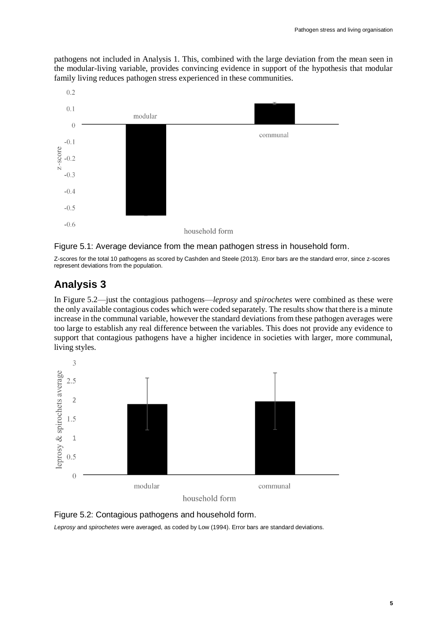pathogens not included in Analysis 1. This, combined with the large deviation from the mean seen in the modular-living variable, provides convincing evidence in support of the hypothesis that modular family living reduces pathogen stress experienced in these communities.





Z-scores for the total 10 pathogens as scored by Cashden and Steele (2013). Error bars are the standard error, since z-scores represent deviations from the population.

#### **Analysis 3**

In Figure 5.2—just the contagious pathogens—*leprosy* and *spirochetes* were combined as these were the only available contagious codes which were coded separately. The results show that there is a minute increase in the communal variable, however the standard deviations from these pathogen averages were too large to establish any real difference between the variables. This does not provide any evidence to support that contagious pathogens have a higher incidence in societies with larger, more communal, living styles.





*Leprosy* and *spirochetes* were averaged, as coded by Low (1994). Error bars are standard deviations.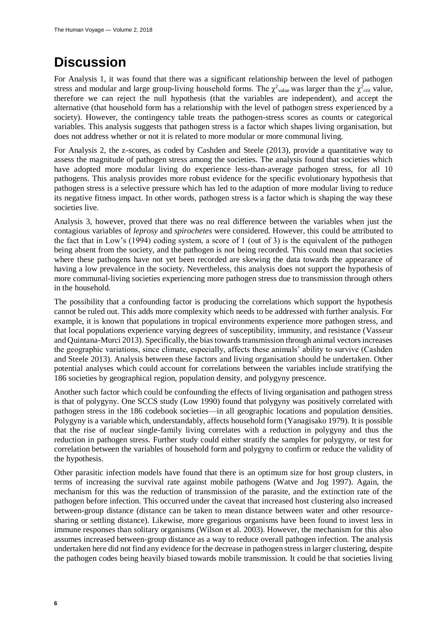## **Discussion**

For Analysis 1, it was found that there was a significant relationship between the level of pathogen stress and modular and large group-living household forms. The  $\chi^2$ <sub>value</sub> was larger than the  $\chi^2$ <sub>crit</sub> value, therefore we can reject the null hypothesis (that the variables are independent), and accept the alternative (that household form has a relationship with the level of pathogen stress experienced by a society). However, the contingency table treats the pathogen-stress scores as counts or categorical variables. This analysis suggests that pathogen stress is a factor which shapes living organisation, but does not address whether or not it is related to more modular or more communal living.

For Analysis 2, the z-scores, as coded by Cashden and Steele (2013), provide a quantitative way to assess the magnitude of pathogen stress among the societies. The analysis found that societies which have adopted more modular living do experience less-than-average pathogen stress, for all 10 pathogens. This analysis provides more robust evidence for the specific evolutionary hypothesis that pathogen stress is a selective pressure which has led to the adaption of more modular living to reduce its negative fitness impact. In other words, pathogen stress is a factor which is shaping the way these societies live.

Analysis 3, however, proved that there was no real difference between the variables when just the contagious variables of *leprosy* and *spirochetes* were considered. However, this could be attributed to the fact that in Low's (1994) coding system, a score of 1 (out of 3) is the equivalent of the pathogen being absent from the society, and the pathogen is not being recorded. This could mean that societies where these pathogens have not yet been recorded are skewing the data towards the appearance of having a low prevalence in the society. Nevertheless, this analysis does not support the hypothesis of more communal-living societies experiencing more pathogen stress due to transmission through others in the household.

The possibility that a confounding factor is producing the correlations which support the hypothesis cannot be ruled out. This adds more complexity which needs to be addressed with further analysis. For example, it is known that populations in tropical environments experience more pathogen stress, and that local populations experience varying degrees of susceptibility, immunity, and resistance (Vasseur and Quintana-Murci 2013). Specifically, the bias towards transmission through animal vectors increases the geographic variations, since climate, especially, affects these animals' ability to survive (Cashden and Steele 2013). Analysis between these factors and living organisation should be undertaken. Other potential analyses which could account for correlations between the variables include stratifying the 186 societies by geographical region, population density, and polygyny prescence.

Another such factor which could be confounding the effects of living organisation and pathogen stress is that of polygyny. One SCCS study (Low 1990) found that polygyny was positively correlated with pathogen stress in the 186 codebook societies—in all geographic locations and population densities. Polygyny is a variable which, understandably, affects household form (Yanagisako 1979). It is possible that the rise of nuclear single-family living correlates with a reduction in polygyny and thus the reduction in pathogen stress. Further study could either stratify the samples for polygyny, or test for correlation between the variables of household form and polygyny to confirm or reduce the validity of the hypothesis.

Other parasitic infection models have found that there is an optimum size for host group clusters, in terms of increasing the survival rate against mobile pathogens (Watve and Jog 1997). Again, the mechanism for this was the reduction of transmission of the parasite, and the extinction rate of the pathogen before infection. This occurred under the caveat that increased host clustering also increased between-group distance (distance can be taken to mean distance between water and other resourcesharing or settling distance). Likewise, more gregarious organisms have been found to invest less in immune responses than solitary organisms (Wilson et al. 2003). However, the mechanism for this also assumes increased between-group distance as a way to reduce overall pathogen infection. The analysis undertaken here did not find any evidence for the decrease in pathogen stress in larger clustering, despite the pathogen codes being heavily biased towards mobile transmission. It could be that societies living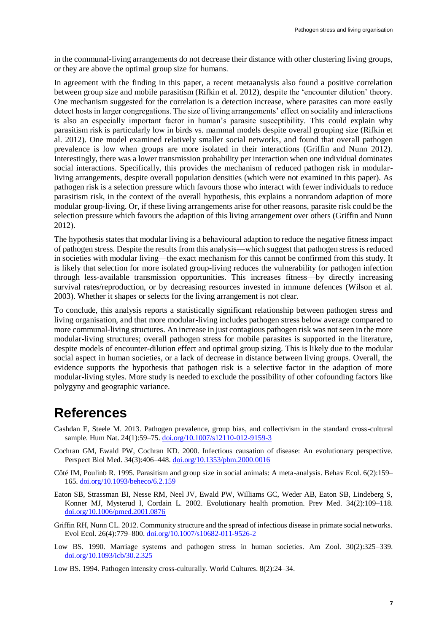in the communal-living arrangements do not decrease their distance with other clustering living groups, or they are above the optimal group size for humans.

In agreement with the finding in this paper, a recent metaanalysis also found a positive correlation between group size and mobile parasitism (Rifkin et al. 2012), despite the 'encounter dilution' theory. One mechanism suggested for the correlation is a detection increase, where parasites can more easily detect hosts in larger congregations. The size of living arrangements' effect on sociality and interactions is also an especially important factor in human's parasite susceptibility. This could explain why parasitism risk is particularly low in birds vs. mammal models despite overall grouping size (Rifkin et al. 2012). One model examined relatively smaller social networks, and found that overall pathogen prevalence is low when groups are more isolated in their interactions (Griffin and Nunn 2012). Interestingly, there was a lower transmission probability per interaction when one individual dominates social interactions. Specifically, this provides the mechanism of reduced pathogen risk in modularliving arrangements, despite overall population densities (which were not examined in this paper). As pathogen risk is a selection pressure which favours those who interact with fewer individuals to reduce parasitism risk, in the context of the overall hypothesis, this explains a nonrandom adaption of more modular group-living. Or, if these living arrangements arise for other reasons, parasite risk could be the selection pressure which favours the adaption of this living arrangement over others (Griffin and Nunn 2012).

The hypothesis states that modular living is a behavioural adaption to reduce the negative fitness impact of pathogen stress. Despite the results from this analysis—which suggest that pathogen stress is reduced in societies with modular living—the exact mechanism for this cannot be confirmed from this study. It is likely that selection for more isolated group-living reduces the vulnerability for pathogen infection through less-available transmission opportunities. This increases fitness—by directly increasing survival rates/reproduction, or by decreasing resources invested in immune defences (Wilson et al. 2003). Whether it shapes or selects for the living arrangement is not clear.

To conclude, this analysis reports a statistically significant relationship between pathogen stress and living organisation, and that more modular-living includes pathogen stress below average compared to more communal-living structures. An increase in just contagious pathogen risk was not seen in the more modular-living structures; overall pathogen stress for mobile parasites is supported in the literature, despite models of encounter-dilution effect and optimal group sizing. This is likely due to the modular social aspect in human societies, or a lack of decrease in distance between living groups. Overall, the evidence supports the hypothesis that pathogen risk is a selective factor in the adaption of more modular-living styles. More study is needed to exclude the possibility of other cofounding factors like polygyny and geographic variance.

## **References**

- Cashdan E, Steele M. 2013. Pathogen prevalence, group bias, and collectivism in the standard cross-cultural sample. Hum Nat. 24(1):59-75. [doi.org/10.1007/s12110-012-9159-3](https://doi.org/10.1007/s12110-012-9159-3)
- Cochran GM, Ewald PW, Cochran KD. 2000. Infectious causation of disease: An evolutionary perspective. Perspect Biol Med. 34(3):406–448. [doi.org/10.1353/pbm.2000.0016](https://doi.org/10.1353/pbm.2000.0016)
- Côté IM, Poulinb R. 1995. Parasitism and group size in social animals: A meta-analysis. Behav Ecol. 6(2):159– 165. [doi.org/10.1093/beheco/6.2.159](https://doi.org/10.1093/beheco/6.2.159)
- Eaton SB, Strassman BI, Nesse RM, Neel JV, Ewald PW, Williams GC, Weder AB, Eaton SB, Lindeberg S, Konner MJ, Mysterud I, Cordain L. 2002. Evolutionary health promotion. Prev Med*.* 34(2):109–118. [doi.org/10.1006/pmed.2001.0876](https://doi.org/10.1006/pmed.2001.0876)
- Griffin RH, Nunn CL. 2012. Community structure and the spread of infectious disease in primate social networks. Evol Ecol. 26(4):779–800. [doi.org/10.1007/s10682-011-9526-2](https://doi.org/10.1007/s10682-011-9526-2)
- Low BS. 1990. Marriage systems and pathogen stress in human societies. Am Zool. 30(2):325–339. [doi.org/10.1093/icb/30.2.325](https://doi.org/10.1093/icb/30.2.325)
- Low BS. 1994. Pathogen intensity cross-culturally. World Cultures. 8(2):24–34.